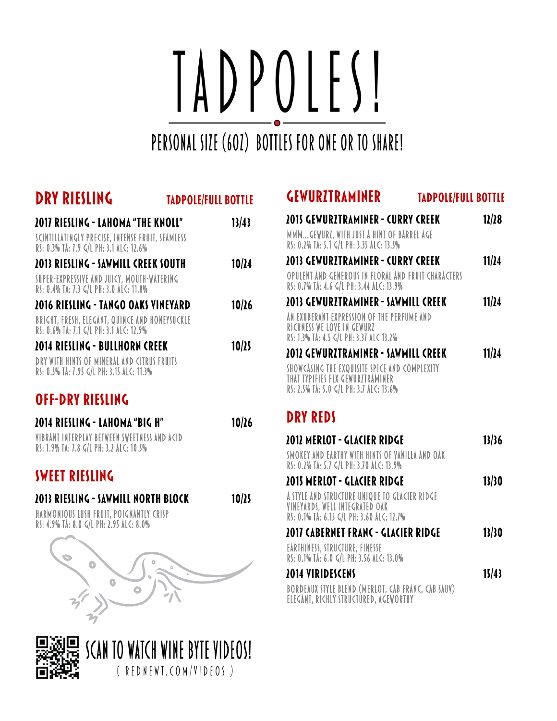# IADPOLESI

## PERSONAL SIZE (60Z) BOTTLES FOR ONE OR TO SHARE!

| <b>DRY RIESLING</b><br><b>TADPOLE/FULL BOTTLE</b>                                                                                        |       |
|------------------------------------------------------------------------------------------------------------------------------------------|-------|
| <b>2017 RIESLING - LAHOMA "THE KNOLL"</b><br>SCINTILLATINGLY PRECISE, INTENSE FRUIT, SEAMLESS<br>RS: 0.3% TA: 7.9 G/L PH: 3.1 ALC: 12.6% | 13/43 |
| 2013 RIESLING - SAWMILL CREEK SOUTH<br>SUPER-EXPRESSIVE AND JUICY, MOUTH-WATERING<br>RS: 0.4% TA: 7.3 G/L PH: 3.0 ALC: 11.8%             | 10/24 |
| 2016 RIESLING - TANGO OAKS VINEYARD<br>BRIGHT, FRESH, ELEGANT, QUINCE AND HONEYSUCKLE<br>RS: 0.6% TA: 7.1 G/L PH: 3.1 ALC: 12.9%         | 10/26 |
| 2014 RIESLING - BULLHORN CREEK<br>DRY WITH HINTS OF MINERAL AND CITRUS FRUITS<br>RS: 0.5% TA: 7.95 G/L PH: 3.15 ALC: 11.3%               | 10/25 |
| <b>OFF-DRY RIESLING</b><br>2014 RIESLING - LAHOMA "BIG H"                                                                                | 10/26 |
| VIBRANT INTERPLAY BETWEEN SWEETNESS AND ACID<br>RS: 1.9% TA: 7.8 G/L PH: 3.2 ALC: 10.5%<br><b>SWEET RIESLING</b>                         |       |
| 2013 RIESLING - SAWMILL NORTH BLOCK<br>HARMONIOUS LUSH FRUIT, POIGNANTLY CRISP<br>RS: 4.9% TA: 8.0 G/L PH: 2.95 ALC: 8.0%                | 10/25 |
| $\circ$                                                                                                                                  |       |

## SCAN TO WATCH WINE BYTE VIDEOS! (REDNEWT.COM/VIDEOS)

#### **GEWURZTRAMINER TADPOLE/FULL BOTTLE**

| <b>2015 GEWURZTRAMINER - CURRY CREEK</b>                                                        | 12/28 |
|-------------------------------------------------------------------------------------------------|-------|
| MMMGEWURZ, WITH JUST A HINT OF BARREL AGE                                                       |       |
| RS: 0.2% TA: 5.1 G/L PH: 3.35 ALC: 13.5%                                                        |       |
| <b>2013 GEWURZTRAMINER - CURRY CREEK</b>                                                        | 11/24 |
| OPULENT AND GENEROUS IN FLORAL AND FRUIT CHARACTERS<br>RS: 0.7% TA: 4.6 G/L PH: 3.44 ALC: 13.9% |       |
| 2013 GEWURZTRAMINER - SAWMILL CREEK                                                             | 11/24 |
| AN EXUBERANT EXPRESSION OF THE PERFUME AND<br>RICHNESS WE LOVE IN GEWURZ                        |       |
| RS: 1.3% TA: 4.5 G/L PH: 3.37 ALC 13.2%                                                         |       |
| 2012 GEWURZTRAMINER - SAWMILL CREEK                                                             | 11/24 |
| SHOW CASING THE EXQUISITE SPICE AND COMPLEXITY<br>THAT TYPIFIES FLX GEWURZTRAMINER              |       |
| RS: 2.5% TA: 5.0 G/L PH: 3.7 ALC: 13.6%                                                         |       |

#### **DRY REDS**

| 2012 MERLOT - GLACIER RIDGE                                                                                                  | 13/36 |
|------------------------------------------------------------------------------------------------------------------------------|-------|
| SMOKEY AND EARTHY WITH HINTS OF VANILLA AND OAK<br>RS: 0.2% TA: 5.7 G/L PH: 3.70 ALC: 13.9%                                  |       |
| 2015 MERLOT - GLACIER RIDGE                                                                                                  | 13/30 |
| A STYLE AND STRUCTURE UNIQUE TO GLACIER RIDGE<br>VINEYARDS, WELL INTEGRATED OAK<br>RS: 0.1% TA: 6.15 G/L PH: 3.60 ALC: 12.7% |       |
| <b>2017 CABERNET FRANC - GLACIER RIDGE</b>                                                                                   | 13/30 |
| EARTHINESS, STRUCTURE, FINESSE<br>RS: 0.1% TA: 6.0 G/L PH: 3.56 ALC: 13.0%                                                   |       |
| 2014 VIRIDESCENS                                                                                                             | 15/43 |
| BORDEAUX STYLE BLEND (MERLOT, CAB FRANC, CAB SAUY)<br>ELEGANT, RICHLY STRUCTURED, AGEWORTHY                                  |       |